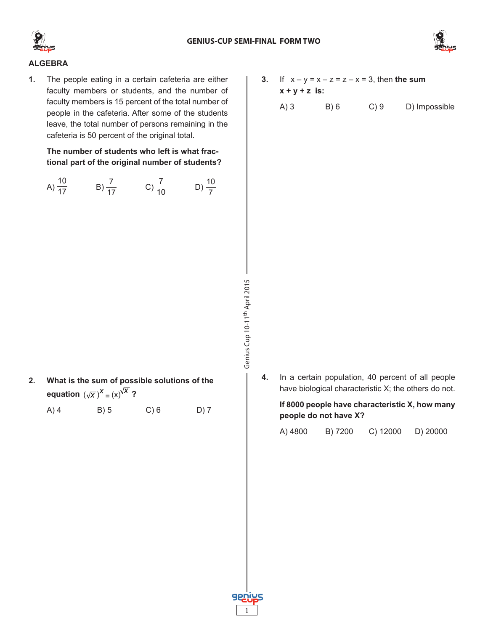



# **ALGEBRA**

**1.** The people eating in a certain cafeteria are either faculty members or students, and the number of faculty members is 15 percent of the total number of people in the cafeteria. After some of the students leave, the total number of persons remaining in the cafeteria is 50 percent of the original total.

**The number of students who left is what fractional part of the original number of students?**

A)  $\frac{10}{17}$  B)  $\frac{7}{17}$  C)  $\frac{7}{10}$  D)  $\frac{10}{7}$ 

- **2. What is the sum of possible solutions of the**  equation  $(\sqrt{x})^X = (x)^{\sqrt{X}}$ ?
	- A) 4 B) 5 C) 6 D) 7
- **3.** If  $x y = x z = z x = 3$ , then **the sum x + y + z is:**
	- $(A)$  3 B) 6 C) 9 D) Impossible

**4.** In a certain population, 40 percent of all people have biological characteristic X; the others do not.

## **If 8000 people have characteristic X, how many people do not have X?**

|  | A) 4800 | B) 7200 | $C)$ 12000 | D) 20000 |
|--|---------|---------|------------|----------|
|--|---------|---------|------------|----------|



Genius Cup 10-11th April 2015

Genius Cup 10-11<sup>th</sup> April 2015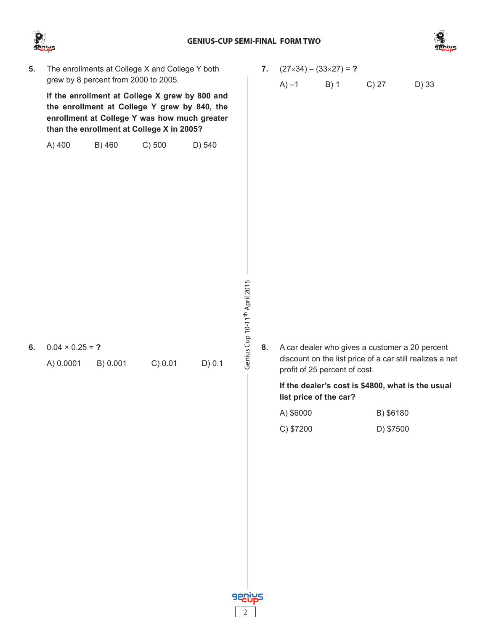

**6.** 0.04 × 0.25 = **?**

#### **GENIUS-CUP SEMI-FINAL FORM TWO**



**5.** The enrollments at College X and College Y both grew by 8 percent from 2000 to 2005.

**If the enrollment at College X grew by 800 and the enrollment at College Y grew by 840, the enrollment at College Y was how much greater than the enrollment at College X in 2005?**

A) 400 B) 460 C) 500 D) 540

A) 0.0001 B) 0.001 C) 0.01 D) 0.1

- **7.** (27×34) (33×27) = **?**
	- A)  $-1$  B) 1 C) 27 D) 33

- Genius Cup 10-11<sup>th</sup> April 2015 Genius Cup 10-11th April 2015
- **8.** A car dealer who gives a customer a 20 percent discount on the list price of a car still realizes a net profit of 25 percent of cost.

**If the dealer's cost is \$4800, what is the usual list price of the car?**

| A) \$6000 | B) \$6180 |
|-----------|-----------|
| C) \$7200 | D) \$7500 |

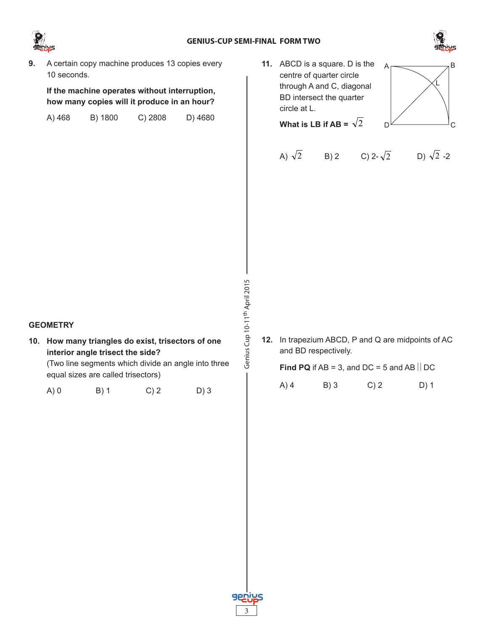



**9.** A certain copy machine produces 13 copies every 10 seconds.

**If the machine operates without interruption, how many copies will it produce in an hour?**

| A) 468 | B) 1800 | $C)$ 2808 | D) 4680 |
|--------|---------|-----------|---------|
|--------|---------|-----------|---------|

**11.** ABCD is a square. D is the  $A \rightarrow B$ centre of quarter circle through A and C, diagonal BD intersect the quarter circle at L.



- $D \sim$  C L
- A)  $\sqrt{2}$  B) 2 C) 2- $\sqrt{2}$  D)  $\sqrt{2}$ -2

Genius Cup 10-11<sup>th</sup> April 2015 Genius Cup 10-11th April 2015

# **12.** In trapezium ABCD, P and Q are midpoints of AC and BD respectively.

# **Find PQ** if AB = 3, and DC = 5 and AB  $\vert\vert$  DC

A) 4 B) 3 C) 2 D) 1



**10. How many triangles do exist, trisectors of one interior angle trisect the side?** 

(Two line segments which divide an angle into three equal sizes are called trisectors)

A) 0 B) 1 C) 2 D) 3

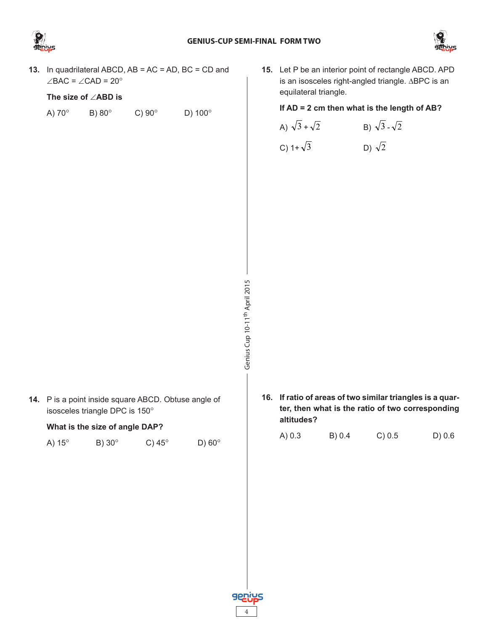



**13.** In quadrilateral ABCD, AB = AC = AD, BC = CD and ∠BAC = ∠CAD = 20°

# **The size of** ∠**ABD is**

| A) 70° | B) $80^\circ$ | C) $90^\circ$ | D) $100^\circ$ |
|--------|---------------|---------------|----------------|
|        |               |               |                |

**15.** Let P be an interior point of rectangle ABCD. APD is an isosceles right-angled triangle. ∆BPC is an equilateral triangle.

#### **If AD = 2 cm then what is the length of AB?**

| A) $\sqrt{3} + \sqrt{2}$ | B) $\sqrt{3} - \sqrt{2}$ |
|--------------------------|--------------------------|
| C) 1+ $\sqrt{3}$         | D) $\sqrt{2}$            |

**14.** P is a point inside square ABCD. Obtuse angle of isosceles triangle DPC is 150°

#### **What is the size of angle DAP?**

| A) $15^\circ$ | B) $30^\circ$ | C) $45^\circ$ | D) $60^\circ$ |
|---------------|---------------|---------------|---------------|
|               |               |               |               |

- Genius Cup 10-11<sup>th</sup> April 2015 Genius Cup 10-11th April 2015
- **16. If ratio of areas of two similar triangles is a quarter, then what is the ratio of two corresponding altitudes?**

| A) 0.3 | B) 0.4 | C) 0.5 | D) 0.6 |
|--------|--------|--------|--------|
|        |        |        |        |

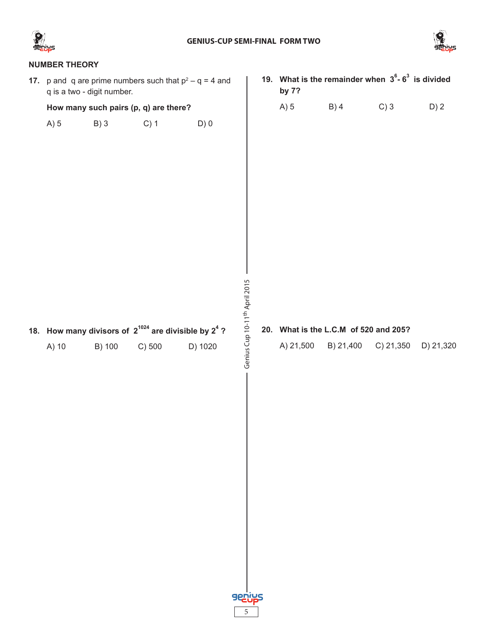



# **NUMBER THEORY 19. What is the remainder when 36 - 6<sup>3</sup> is divided 17.**  $\mu$  and q are prime numbers such that  $p^2 - q = 4$  and **by 7?** q is a two - digit number. A) 5 B) 4 C) 3 D) 2 **How many such pairs (p, q) are there?** A) 5 B) 3 C) 1 D) 0 Genius Cup 10-11<sup>th</sup> April 2015 Genius Cup 10-11th April 2015 **20. What is the L.C.M of 520 and 205?** 18. How many divisors of  $2^{1024}$  are divisible by  $2^4$  ? A) 21,500 B) 21,400 C) 21,350 D) 21,320A) 10 B) 100 C) 500 D) 1020

5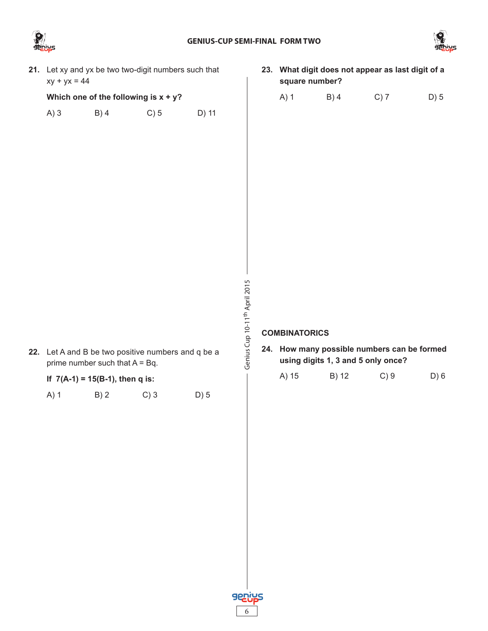



- **21.** Let xy and yx be two two-digit numbers such that  $xy + yx = 44$ **Which one of the following is x + y?** A) 3 B) 4 C) 5 D) 11 Genius Cup 10-11<sup>th</sup> April 2015 Genius Cup 10-11th April 2015 **COMBINATORICS 22.** Let A and B be two positive numbers and q be a prime number such that  $A = Bq$ . **If 7(A-1) = 15(B-1), then q is:** A) 1 B) 2 C) 3 D) 5
	- **23. What digit does not appear as last digit of a square number?**
		- A) 1 B) 4 C) 7 D) 5

**24. How many possible numbers can be formed using digits 1, 3 and 5 only once?**

| A) 15 | B) 12 | $C$ ) 9 | D) 6 |
|-------|-------|---------|------|
|       |       |         |      |

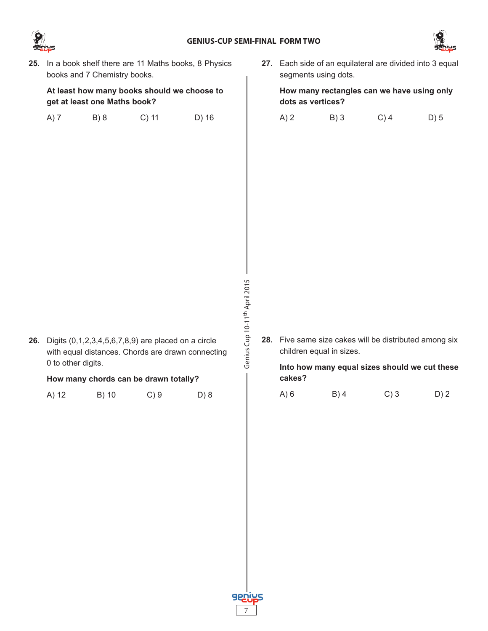



**25.** In a book shelf there are 11 Maths books, 8 Physics books and 7 Chemistry books.

**At least how many books should we choose to get at least one Maths book?**

|  | A) 7 | B) 8 | $C)$ 11 | D) 16 |
|--|------|------|---------|-------|
|--|------|------|---------|-------|

**26.** Digits (0,1,2,3,4,5,6,7,8,9) are placed on a circle

**How many chords can be drawn totally?**

A) 12 B) 10 C) 9 D) 8

0 to other digits.

with equal distances. Chords are drawn connecting

**27.** Each side of an equilateral are divided into 3 equal segments using dots.

**How many rectangles can we have using only dots as vertices?**

| A)2 | B)3 | $C)$ 4 | D) 5 |
|-----|-----|--------|------|
|     |     |        |      |

- Genius Cup 10-11th April 2015
- **28.** Five same size cakes will be distributed among six children equal in sizes.

**Into how many equal sizes should we cut these cakes?**

| A) 6 | $B)$ 4 | C)3 | D) 2 |
|------|--------|-----|------|
|      |        |     |      |

Genius Cup 10-11<sup>th</sup> April 2015

7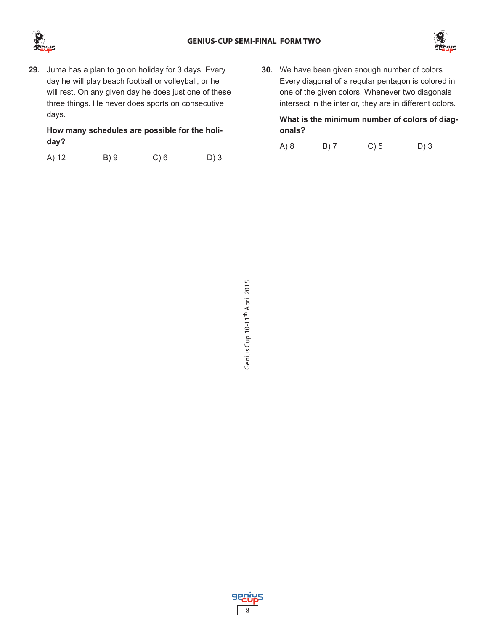



**29.** Juma has a plan to go on holiday for 3 days. Every day he will play beach football or volleyball, or he will rest. On any given day he does just one of these three things. He never does sports on consecutive days.

**How many schedules are possible for the holiday?**

|  | A) 12 | B) 9 | $C$ ) 6 | D)3 |
|--|-------|------|---------|-----|
|--|-------|------|---------|-----|

**30.** We have been given enough number of colors. Every diagonal of a regular pentagon is colored in one of the given colors. Whenever two diagonals intersect in the interior, they are in different colors.

**What is the minimum number of colors of diagonals?**

A) 8 B) 7 C) 5 D) 3



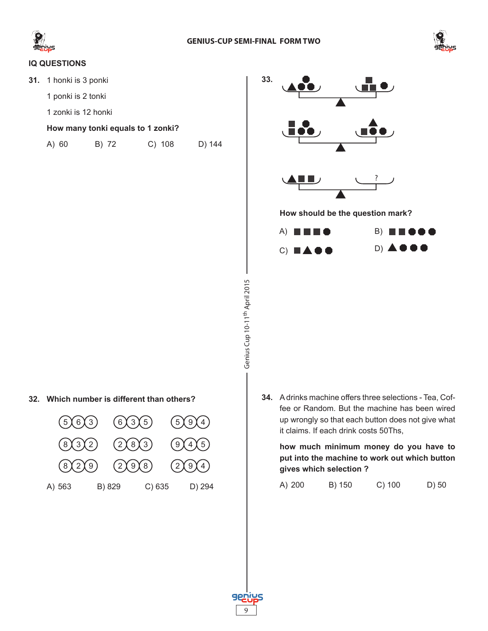

Genius Cup 10-11th April 2015

Genius Cup 10-11<sup>th</sup> April 2015

9

**925** 



# **IQ QUESTIONS**

**31.** 1 honki is 3 ponki

1 ponki is 2 tonki

1 zonki is 12 honki

#### **How many tonki equals to 1 zonki?**

| A) 60 | B) 72 | C) 108 | D) 144 |
|-------|-------|--------|--------|
|       |       |        |        |



#### **32. Which number is different than others?**

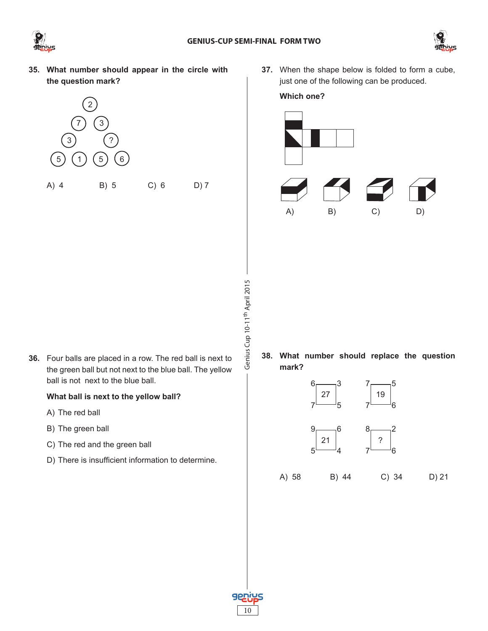



**35. What number should appear in the circle with the question mark?**



**37.** When the shape below is folded to form a cube, just one of the following can be produced.

#### **Which one?**



- Genius Cup 10-11<sup>th</sup> April 2015 Genius Cup 10-11th April 2015
- **36.** Four balls are placed in a row. The red ball is next to the green ball but not next to the blue ball. The yellow ball is not next to the blue ball.

## **What ball is next to the yellow ball?**

- A) The red ball
- B) The green ball
- C) The red and the green ball
- D) There is insufficient information to determine.

**38. What number should replace the question mark?**



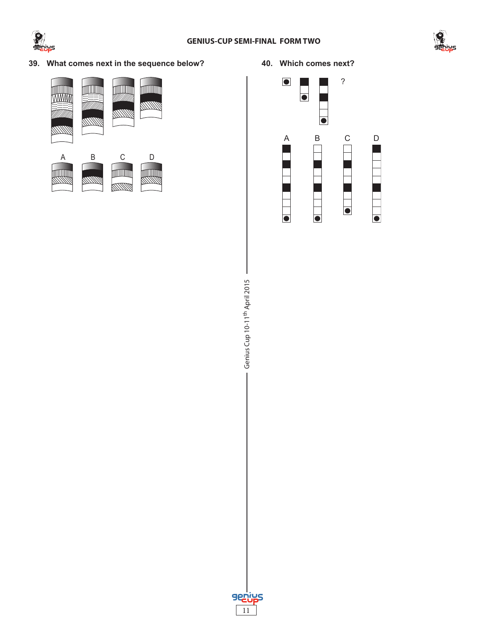



**39. What comes next in the sequence below?**



**40. Which comes next?**